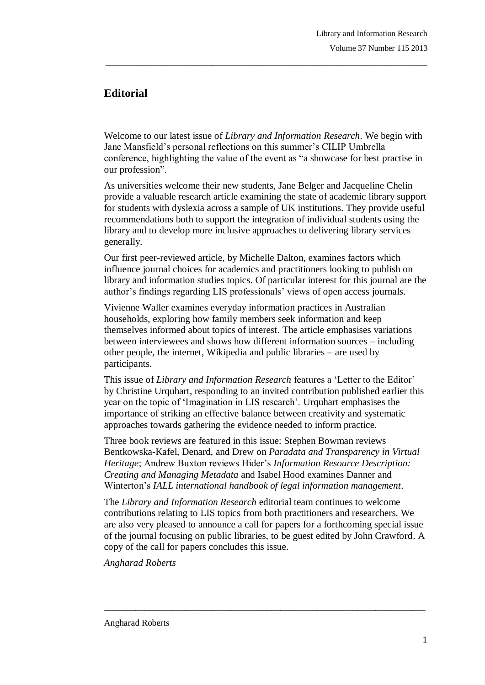## **Editorial**

Welcome to our latest issue of *Library and Information Research*. We begin with Jane Mansfield's personal reflections on this summer's CILIP Umbrella conference, highlighting the value of the event as "a showcase for best practise in our profession".

\_\_\_\_\_\_\_\_\_\_\_\_\_\_\_\_\_\_\_\_\_\_\_\_\_\_\_\_\_\_\_\_\_\_\_\_\_\_\_\_\_\_\_\_\_\_\_\_\_\_\_\_\_\_\_\_\_\_\_\_\_\_\_\_\_\_\_\_\_\_\_\_\_\_\_\_\_\_\_

As universities welcome their new students, Jane Belger and Jacqueline Chelin provide a valuable research article examining the state of academic library support for students with dyslexia across a sample of UK institutions. They provide useful recommendations both to support the integration of individual students using the library and to develop more inclusive approaches to delivering library services generally.

Our first peer-reviewed article, by Michelle Dalton, examines factors which influence journal choices for academics and practitioners looking to publish on library and information studies topics. Of particular interest for this journal are the author's findings regarding LIS professionals' views of open access journals.

Vivienne Waller examines everyday information practices in Australian households, exploring how family members seek information and keep themselves informed about topics of interest. The article emphasises variations between interviewees and shows how different information sources – including other people, the internet, Wikipedia and public libraries – are used by participants.

This issue of *Library and Information Research* features a "Letter to the Editor" by Christine Urquhart, responding to an invited contribution published earlier this year on the topic of "Imagination in LIS research". Urquhart emphasises the importance of striking an effective balance between creativity and systematic approaches towards gathering the evidence needed to inform practice.

Three book reviews are featured in this issue: Stephen Bowman reviews Bentkowska-Kafel, Denard, and Drew on *Paradata and Transparency in Virtual Heritage*; Andrew Buxton reviews Hider"s *Information Resource Description: Creating and Managing Metadata* and Isabel Hood examines Danner and Winterton"s *IALL international handbook of legal information management*.

The *Library and Information Research* editorial team continues to welcome contributions relating to LIS topics from both practitioners and researchers. We are also very pleased to announce a call for papers for a forthcoming special issue of the journal focusing on public libraries, to be guest edited by John Crawford. A copy of the call for papers concludes this issue.

 $\_$  ,  $\_$  ,  $\_$  ,  $\_$  ,  $\_$  ,  $\_$  ,  $\_$  ,  $\_$  ,  $\_$  ,  $\_$  ,  $\_$  ,  $\_$  ,  $\_$  ,  $\_$  ,  $\_$  ,  $\_$  ,  $\_$  ,  $\_$  ,  $\_$ 

*Angharad Roberts*